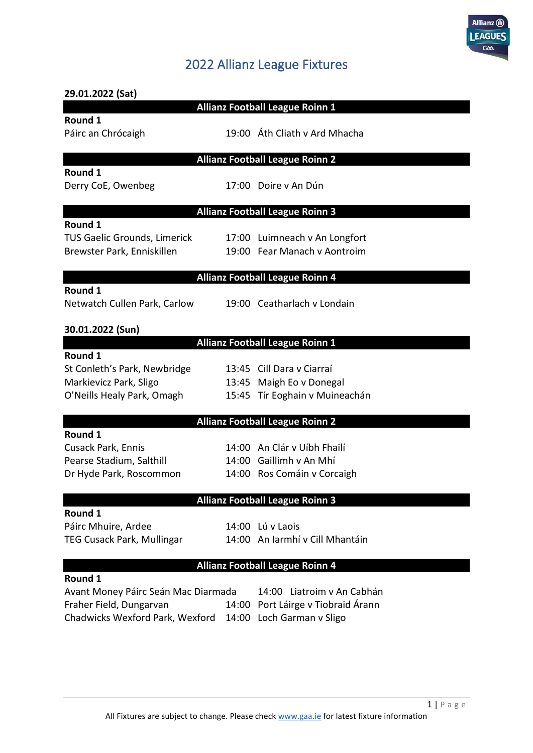

## 2022 Allianz League Fixtures

| 29.01.2022 (Sat)                    |       |                                        |
|-------------------------------------|-------|----------------------------------------|
|                                     |       | <b>Allianz Football League Roinn 1</b> |
| Round 1                             |       |                                        |
| Páirc an Chrócaigh                  |       | 19:00 Áth Cliath v Ard Mhacha          |
|                                     |       |                                        |
|                                     |       | <b>Allianz Football League Roinn 2</b> |
| Round 1                             |       |                                        |
| Derry CoE, Owenbeg                  |       | 17:00 Doire y An Dún                   |
|                                     |       | <b>Allianz Football League Roinn 3</b> |
| Round 1                             |       |                                        |
| TUS Gaelic Grounds, Limerick        |       | 17:00 Luimneach v An Longfort          |
| Brewster Park, Enniskillen          |       | 19:00 Fear Manach v Aontroim           |
|                                     |       |                                        |
|                                     |       | <b>Allianz Football League Roinn 4</b> |
| Round 1                             |       |                                        |
| Netwatch Cullen Park, Carlow        |       | 19:00 Ceatharlach v Londain            |
|                                     |       |                                        |
| 30.01.2022 (Sun)                    |       |                                        |
|                                     |       | <b>Allianz Football League Roinn 1</b> |
| Round 1                             |       |                                        |
| St Conleth's Park, Newbridge        |       | 13:45 Cill Dara v Ciarraí              |
| Markievicz Park, Sligo              |       | 13:45 Maigh Eo v Donegal               |
| O'Neills Healy Park, Omagh          |       | 15:45 Tír Eoghain v Muineachán         |
|                                     |       |                                        |
| Round 1                             |       | <b>Allianz Football League Roinn 2</b> |
|                                     |       | 14:00 An Clár v Uíbh Fhailí            |
| Cusack Park, Ennis                  |       | 14:00 Gaillimh v An Mhí                |
| Pearse Stadium, Salthill            |       |                                        |
| Dr Hyde Park, Roscommon             |       | 14:00 Ros Comáin v Corcaigh            |
|                                     |       | <b>Allianz Football League Roinn 3</b> |
| Round 1                             |       |                                        |
| Páirc Mhuire, Ardee                 |       | 14:00 Lú v Laois                       |
| <b>TEG Cusack Park, Mullingar</b>   |       | 14:00 An Iarmhí v Cill Mhantáin        |
|                                     |       |                                        |
|                                     |       | <b>Allianz Football League Roinn 4</b> |
| Round 1                             |       |                                        |
| Avant Money Páirc Seán Mac Diarmada |       | 14:00 Liatroim v An Cabhán             |
| Fraher Field, Dungarvan             | 14:00 | Port Láirge v Tiobraid Árann           |
| Chadwicks Wexford Park, Wexford     |       | 14:00 Loch Garman v Sligo              |
|                                     |       |                                        |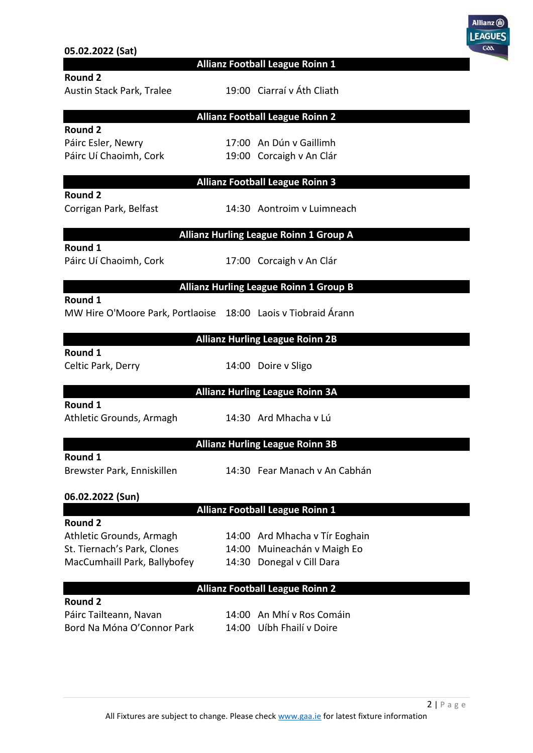|                                                               |                                                        | <b>LEAGUES</b><br>coo |
|---------------------------------------------------------------|--------------------------------------------------------|-----------------------|
| 05.02.2022 (Sat)                                              | Allianz Football League Roinn 1                        |                       |
| <b>Round 2</b>                                                |                                                        |                       |
| Austin Stack Park, Tralee                                     | 19:00 Ciarraí v Áth Cliath                             |                       |
|                                                               | <b>Allianz Football League Roinn 2</b>                 |                       |
| <b>Round 2</b>                                                |                                                        |                       |
| Páirc Esler, Newry                                            | 17:00 An Dún v Gaillimh                                |                       |
| Páirc Uí Chaoimh, Cork                                        | 19:00 Corcaigh v An Clár                               |                       |
|                                                               | <b>Allianz Football League Roinn 3</b>                 |                       |
| Round 2<br>Corrigan Park, Belfast                             | 14:30 Aontroim v Luimneach                             |                       |
|                                                               | <b>Allianz Hurling League Roinn 1 Group A</b>          |                       |
| Round 1<br>Páirc Uí Chaoimh, Cork                             | 17:00 Corcaigh v An Clár                               |                       |
|                                                               | <b>Allianz Hurling League Roinn 1 Group B</b>          |                       |
| Round 1                                                       |                                                        |                       |
| MW Hire O'Moore Park, Portlaoise 18:00 Laois v Tiobraid Árann |                                                        |                       |
|                                                               | <b>Allianz Hurling League Roinn 2B</b>                 |                       |
| Round 1<br>Celtic Park, Derry                                 | 14:00 Doire v Sligo                                    |                       |
|                                                               | <b>Allianz Hurling League Roinn 3A</b>                 |                       |
| Round 1<br>Athletic Grounds, Armagh                           | 14:30 Ard Mhacha v Lú                                  |                       |
|                                                               | <b>Allianz Hurling League Roinn 3B</b>                 |                       |
| Round 1<br>Brewster Park, Enniskillen                         | 14:30 Fear Manach v An Cabhán                          |                       |
|                                                               |                                                        |                       |
| 06.02.2022 (Sun)                                              | <b>Allianz Football League Roinn 1</b>                 |                       |
| <b>Round 2</b>                                                |                                                        |                       |
| Athletic Grounds, Armagh                                      | 14:00 Ard Mhacha v Tír Eoghain                         |                       |
| St. Tiernach's Park, Clones                                   | 14:00 Muineachán v Maigh Eo                            |                       |
| MacCumhaill Park, Ballybofey                                  | 14:30 Donegal v Cill Dara                              |                       |
|                                                               | <b>Allianz Football League Roinn 2</b>                 |                       |
| <b>Round 2</b>                                                |                                                        |                       |
| Páirc Tailteann, Navan<br>Bord Na Móna O'Connor Park          | 14:00 An Mhí v Ros Comáin<br>14:00 Uíbh Fhailí v Doire |                       |
|                                                               |                                                        |                       |

Allianz (iii)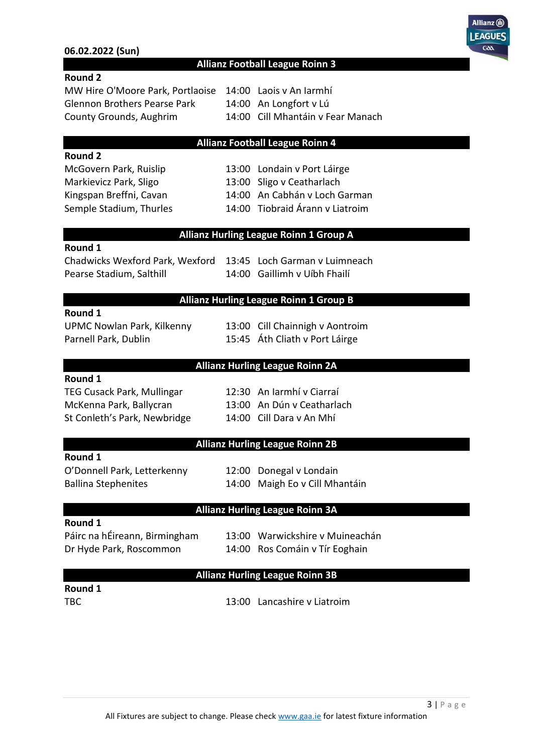#### **06.02.2022 (Sun)**



#### **Allianz Football League Roinn 3**

#### **Round 2**

MW Hire O'Moore Park, Portlaoise 14:00 Laois v An Iarmhí Glennon Brothers Pearse Park 14:00 An Longfort v Lú County Grounds, Aughrim 14:00 Cill Mhantáin v Fear Manach

#### **Allianz Football League Roinn 4**

# **Round 2**

Semple Stadium, Thurles 14:00 Tiobraid Árann v Liatroim

McGovern Park, Ruislip 13:00 Londain v Port Láirge Markievicz Park, Sligo 13:00 Sligo v Ceatharlach Kingspan Breffni, Cavan 14:00 An Cabhán v Loch Garman

#### **Allianz Hurling League Roinn 1 Group A**

#### **Round 1**

Chadwicks Wexford Park, Wexford 13:45 Loch Garman v Luimneach Pearse Stadium, Salthill 14:00 Gaillimh v Uíbh Fhailí

#### **Allianz Hurling League Roinn 1 Group B**

#### **Round 1**

Parnell Park, Dublin 15:45 Áth Cliath v Port Láirge

UPMC Nowlan Park, Kilkenny 13:00 Cill Chainnigh v Aontroim

#### **Allianz Hurling League Roinn 2A**

#### **Round 1**

St Conleth's Park, Newbridge 14:00 Cill Dara v An Mhí

TEG Cusack Park, Mullingar 12:30 An Iarmhí v Ciarraí McKenna Park, Ballycran 13:00 An Dún v Ceatharlach

#### **Allianz Hurling League Roinn 2B**

#### **Round 1**

Ballina Stephenites 14:00 Maigh Eo v Cill Mhantáin

O'Donnell Park, Letterkenny 12:00 Donegal v Londain

#### **Allianz Hurling League Roinn 3A**

#### **Round 1**

Dr Hyde Park, Roscommon 14:00 Ros Comáin v Tír Eoghain

Páirc na hÉireann, Birmingham 13:00 Warwickshire v Muineachán

#### **Allianz Hurling League Roinn 3B**

**Round 1**

TBC 13:00 Lancashire v Liatroim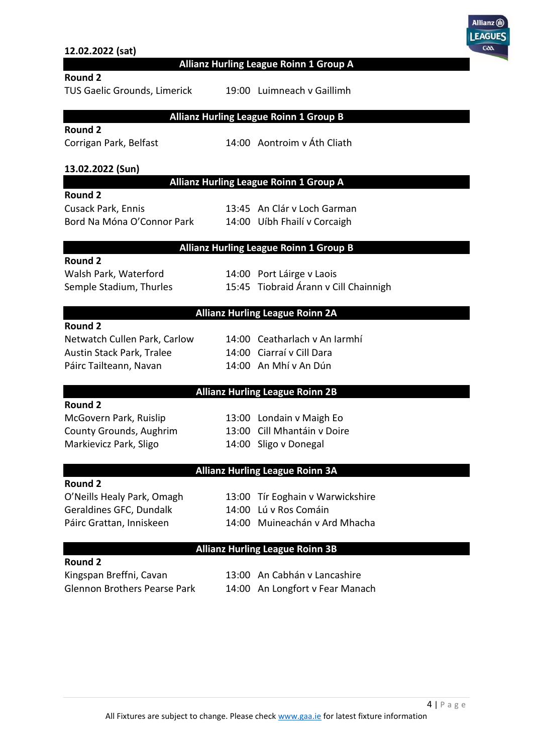#### **12.02.2022 (sat)**

**Allianz Hurling League Roinn 1 Group A**

**Allianz Hurling League Roinn 1 Group B**

#### **Round 2**

TUS Gaelic Grounds, Limerick 19:00 Luimneach v Gaillimh

## **Round 2**

Corrigan Park, Belfast 14:00 Aontroim v Áth Cliath

#### **13.02.2022 (Sun)**

#### **Allianz Hurling League Roinn 1 Group A**

#### **Round 2**

Cusack Park, Ennis 13:45 An Clár v Loch Garman Bord Na Móna O'Connor Park 14:00 Uíbh Fhailí v Corcaigh

#### **Allianz Hurling League Roinn 1 Group B**

#### **Round 2**

Walsh Park, Waterford 14:00 Port Láirge v Laois Semple Stadium, Thurles 15:45 Tiobraid Árann v Cill Chainnigh

#### **Allianz Hurling League Roinn 2A**

#### **Round 2**

Austin Stack Park, Tralee 14:00 Ciarraí v Cill Dara Páirc Tailteann, Navan 14:00 An Mhí v An Dún

Netwatch Cullen Park, Carlow 14:00 Ceatharlach v An Iarmhí

#### **Allianz Hurling League Roinn 2B**

## **Round 2**

Markievicz Park, Sligo 14:00 Sligo v Donegal

McGovern Park, Ruislip 13:00 Londain v Maigh Eo County Grounds, Aughrim 13:00 Cill Mhantáin v Doire

#### **Allianz Hurling League Roinn 3A**

#### **Round 2**

Geraldines GFC, Dundalk 14:00 Lú v Ros Comáin

O'Neills Healy Park, Omagh 13:00 Tír Eoghain v Warwickshire

Páirc Grattan, Inniskeen 14:00 Muineachán v Ard Mhacha

#### **Allianz Hurling League Roinn 3B**

**Round 2** Kingspan Breffni, Cavan 13:00 An Cabhán v Lancashire

Glennon Brothers Pearse Park 14:00 An Longfort v Fear Manach

Allianz (ii) **EAGUE**  $G\Delta t$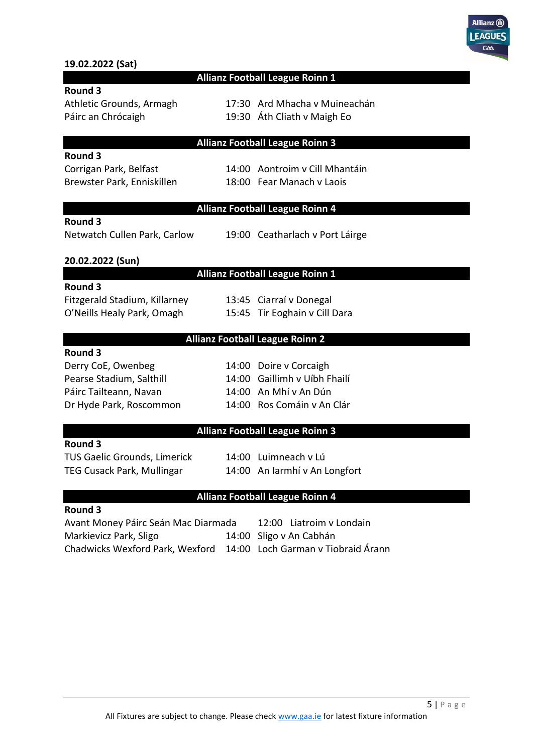

### **19.02.2022 (Sat)**

#### **Allianz Football League Roinn 1**

### **Round 3**

Páirc an Chrócaigh 19:30 Áth Cliath v Maigh Eo

Athletic Grounds, Armagh 17:30 Ard Mhacha v Muineachán

#### **Allianz Football League Roinn 3**

#### **Round 3**

Brewster Park, Enniskillen 18:00 Fear Manach v Laois

Corrigan Park, Belfast 14:00 Aontroim v Cill Mhantáin

#### **Allianz Football League Roinn 4**

#### **Round 3**

Netwatch Cullen Park, Carlow 19:00 Ceatharlach v Port Láirge

#### **20.02.2022 (Sun)**

#### **Allianz Football League Roinn 1**

#### **Round 3**

Fitzgerald Stadium, Killarney 13:45 Ciarraí v Donegal

O'Neills Healy Park, Omagh 15:45 Tír Eoghain v Cill Dara

#### **Allianz Football League Roinn 2**

#### **Round 3**

| Derry CoE, Owenbeg       |
|--------------------------|
| Pearse Stadium, Salthill |
| Páirc Tailteann, Navan   |
| Dr Hyde Park, Roscommon  |

14:00 Doire v Corcaigh 14:00 Gaillimh v Uíbh Fhailí 14:00 An Mhí v An Dún 14:00 Ros Comáin v An Clár

#### **Allianz Football League Roinn 3**

#### **Round 3**

TUS Gaelic Grounds, Limerick 14:00 Luimneach v Lú

TEG Cusack Park, Mullingar 14:00 An Iarmhí v An Longfort

#### **Allianz Football League Roinn 4**

#### **Round 3**

Avant Money Páirc Seán Mac Diarmada 12:00 Liatroim v Londain Markievicz Park, Sligo 14:00 Sligo v An Cabhán Chadwicks Wexford Park, Wexford 14:00 Loch Garman v Tiobraid Árann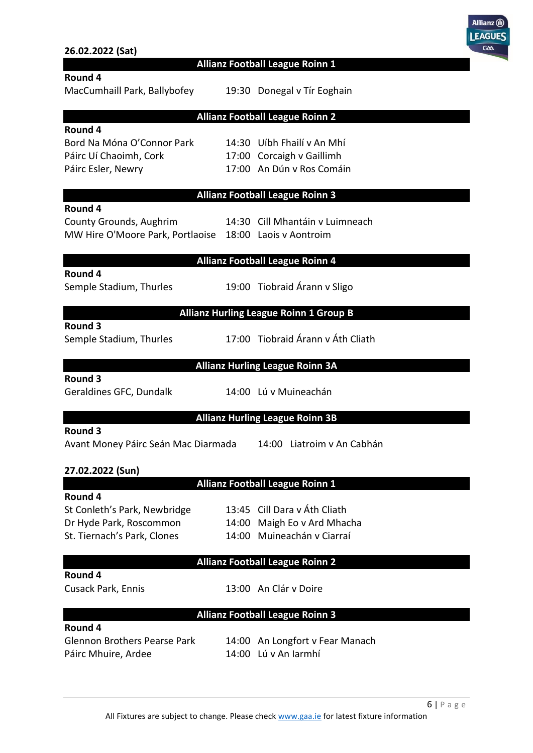|                                                         |                                               | <b>LEAGUES</b><br>Gða |
|---------------------------------------------------------|-----------------------------------------------|-----------------------|
| 26.02.2022 (Sat)                                        | <b>Allianz Football League Roinn 1</b>        |                       |
| Round 4                                                 |                                               |                       |
| MacCumhaill Park, Ballybofey                            | 19:30 Donegal v Tír Eoghain                   |                       |
|                                                         | <b>Allianz Football League Roinn 2</b>        |                       |
| Round 4                                                 |                                               |                       |
| Bord Na Móna O'Connor Park                              | 14:30 Uíbh Fhailí v An Mhí                    |                       |
| Páirc Uí Chaoimh, Cork                                  | 17:00 Corcaigh v Gaillimh                     |                       |
| Páirc Esler, Newry                                      | 17:00 An Dún v Ros Comáin                     |                       |
|                                                         | <b>Allianz Football League Roinn 3</b>        |                       |
| Round 4                                                 |                                               |                       |
| County Grounds, Aughrim                                 | 14:30 Cill Mhantáin y Luimneach               |                       |
| MW Hire O'Moore Park, Portlaoise 18:00 Laois v Aontroim |                                               |                       |
|                                                         | <b>Allianz Football League Roinn 4</b>        |                       |
| Round 4                                                 |                                               |                       |
| Semple Stadium, Thurles                                 | 19:00 Tiobraid Árann v Sligo                  |                       |
|                                                         | <b>Allianz Hurling League Roinn 1 Group B</b> |                       |
| Round 3                                                 |                                               |                       |
| Semple Stadium, Thurles                                 | 17:00 Tiobraid Árann v Áth Cliath             |                       |
|                                                         | <b>Allianz Hurling League Roinn 3A</b>        |                       |
| <b>Round 3</b>                                          |                                               |                       |
| Geraldines GFC, Dundalk                                 | 14:00 Lú v Muineachán                         |                       |
|                                                         | <b>Allianz Hurling League Roinn 3B</b>        |                       |
| Round 3                                                 |                                               |                       |
| Avant Money Páirc Seán Mac Diarmada                     | 14:00 Liatroim v An Cabhán                    |                       |
| 27.02.2022 (Sun)                                        |                                               |                       |
|                                                         | <b>Allianz Football League Roinn 1</b>        |                       |
| Round 4                                                 |                                               |                       |
| St Conleth's Park, Newbridge                            | 13:45 Cill Dara v Áth Cliath                  |                       |
| Dr Hyde Park, Roscommon                                 | 14:00 Maigh Eo v Ard Mhacha                   |                       |
| St. Tiernach's Park, Clones                             | 14:00 Muineachán v Ciarraí                    |                       |
|                                                         | <b>Allianz Football League Roinn 2</b>        |                       |
| Round 4                                                 |                                               |                       |
| Cusack Park, Ennis                                      | 13:00 An Clár v Doire                         |                       |
|                                                         | <b>Allianz Football League Roinn 3</b>        |                       |
| Round 4                                                 |                                               |                       |
| <b>Glennon Brothers Pearse Park</b>                     | 14:00 An Longfort v Fear Manach               |                       |
| Páirc Mhuire, Ardee                                     | 14:00 Lú v An Iarmhí                          |                       |
|                                                         |                                               |                       |

Allianz <sup>1</sup>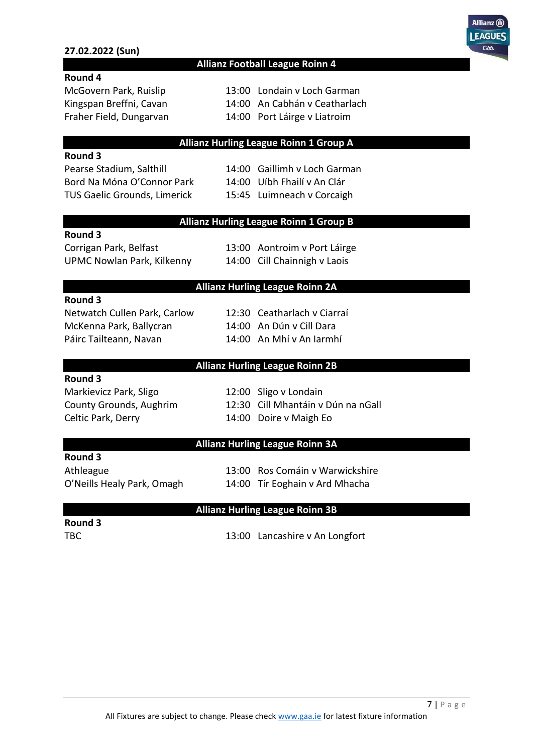#### **27.02.2022 (Sun)**



#### **Allianz Football League Roinn 4**

#### **Round 4**

McGovern Park, Ruislip 13:00 Londain v Loch Garman

- Kingspan Breffni, Cavan 14:00 An Cabhán v Ceatharlach
- Fraher Field, Dungarvan 14:00 Port Láirge v Liatroim

#### **Allianz Hurling League Roinn 1 Group A**

#### **Round 3**

Bord Na Móna O'Connor Park 14:00 Uíbh Fhailí v An Clár TUS Gaelic Grounds, Limerick 15:45 Luimneach v Corcaigh

Pearse Stadium, Salthill 14:00 Gaillimh v Loch Garman

#### **Allianz Hurling League Roinn 1 Group B**

#### **Round 3**

UPMC Nowlan Park, Kilkenny 14:00 Cill Chainnigh v Laois

Corrigan Park, Belfast 13:00 Aontroim v Port Láirge

#### **Allianz Hurling League Roinn 2A**

#### **Round 3**

Netwatch Cullen Park, Carlow 12:30 Ceatharlach v Ciarraí McKenna Park, Ballycran 14:00 An Dún v Cill Dara Páirc Tailteann, Navan 14:00 An Mhí v An Iarmhí

#### **Allianz Hurling League Roinn 2B**

#### **Round 3**

Markievicz Park, Sligo 12:00 Sligo v Londain Celtic Park, Derry 14:00 Doire v Maigh Eo

County Grounds, Aughrim 12:30 Cill Mhantáin v Dún na nGall

#### **Allianz Hurling League Roinn 3A**

#### **Round 3**

Athleague 13:00 Ros Comáin v Warwickshire

O'Neills Healy Park, Omagh 14:00 Tír Eoghain v Ard Mhacha

#### **Allianz Hurling League Roinn 3B**

**Round 3**

TBC 13:00 Lancashire v An Longfort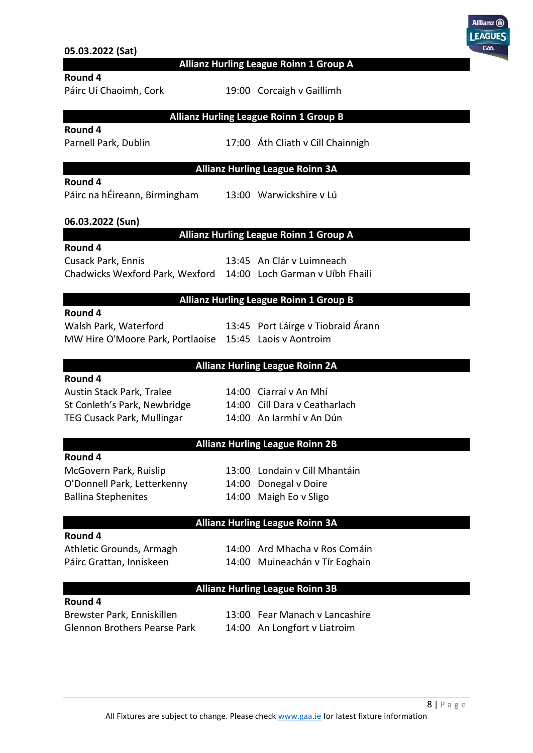|                                                                 |       |                                               | LEAGUI<br><b>Goo</b> |
|-----------------------------------------------------------------|-------|-----------------------------------------------|----------------------|
| 05.03.2022 (Sat)                                                |       |                                               |                      |
|                                                                 |       | Allianz Hurling League Roinn 1 Group A        |                      |
| Round 4<br>Páirc Uí Chaoimh, Cork                               |       | 19:00 Corcaigh v Gaillimh                     |                      |
|                                                                 |       | <b>Allianz Hurling League Roinn 1 Group B</b> |                      |
| Round 4                                                         |       |                                               |                      |
| Parnell Park, Dublin                                            |       | 17:00 Áth Cliath v Cill Chainnigh             |                      |
|                                                                 |       | <b>Allianz Hurling League Roinn 3A</b>        |                      |
| Round 4                                                         |       |                                               |                      |
| Páirc na hÉireann, Birmingham                                   |       | 13:00 Warwickshire v Lú                       |                      |
| 06.03.2022 (Sun)                                                |       |                                               |                      |
|                                                                 |       | <b>Allianz Hurling League Roinn 1 Group A</b> |                      |
| Round 4                                                         |       |                                               |                      |
| Cusack Park, Ennis                                              |       | 13:45 An Clár v Luimneach                     |                      |
| Chadwicks Wexford Park, Wexford 14:00 Loch Garman v Uíbh Fhailí |       |                                               |                      |
|                                                                 |       | <b>Allianz Hurling League Roinn 1 Group B</b> |                      |
| Round 4                                                         |       |                                               |                      |
| Walsh Park, Waterford                                           |       | 13:45 Port Láirge v Tiobraid Árann            |                      |
| MW Hire O'Moore Park, Portlaoise 15:45 Laois v Aontroim         |       |                                               |                      |
|                                                                 |       | <b>Allianz Hurling League Roinn 2A</b>        |                      |
| Round 4                                                         |       |                                               |                      |
| Austin Stack Park, Tralee                                       |       | 14:00 Ciarraí v An Mhí                        |                      |
| St Conleth's Park, Newbridge                                    |       | 14:00 Cill Dara v Ceatharlach                 |                      |
| <b>TEG Cusack Park, Mullingar</b>                               |       | 14:00 An Iarmhí v An Dún                      |                      |
|                                                                 |       | <b>Allianz Hurling League Roinn 2B</b>        |                      |
| Round 4                                                         |       |                                               |                      |
| McGovern Park, Ruislip                                          |       | 13:00 Londain v Cill Mhantáin                 |                      |
| O'Donnell Park, Letterkenny                                     | 14:00 | Donegal v Doire                               |                      |
| <b>Ballina Stephenites</b>                                      |       | 14:00 Maigh Eo v Sligo                        |                      |
|                                                                 |       | <b>Allianz Hurling League Roinn 3A</b>        |                      |
| Round 4                                                         |       |                                               |                      |
| Athletic Grounds, Armagh                                        |       | 14:00 Ard Mhacha v Ros Comáin                 |                      |
| Páirc Grattan, Inniskeen                                        |       | 14:00 Muineachán v Tír Eoghain                |                      |
|                                                                 |       | <b>Allianz Hurling League Roinn 3B</b>        |                      |
| Round 4                                                         |       |                                               |                      |
| Brewster Park, Enniskillen                                      |       | 13:00 Fear Manach v Lancashire                |                      |
| <b>Glennon Brothers Pearse Park</b>                             |       | 14:00 An Longfort v Liatroim                  |                      |
|                                                                 |       |                                               |                      |

Allianz (ii)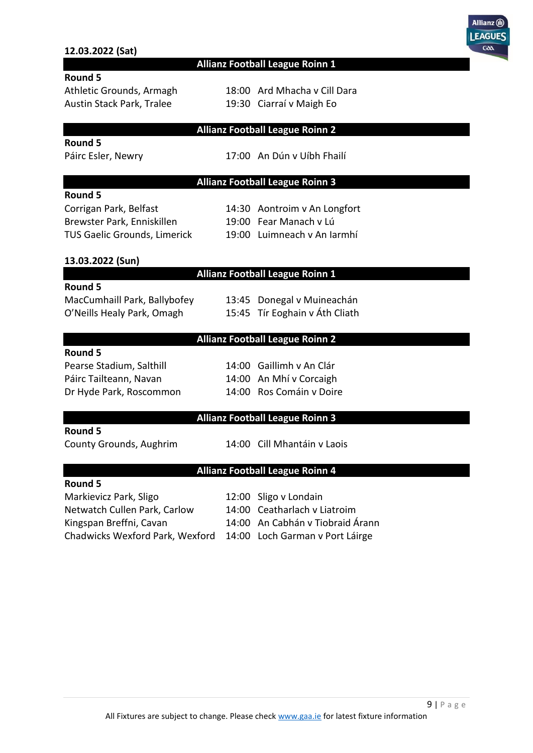#### **12.03.2022 (Sat)**



#### **Allianz Football League Roinn 1**

#### **Round 5**

Austin Stack Park, Tralee 19:30 Ciarraí v Maigh Eo

Athletic Grounds, Armagh 18:00 Ard Mhacha v Cill Dara

#### **Allianz Football League Roinn 2**

### **Round 5**

**Round 5**

Páirc Esler, Newry 17:00 An Dún v Uíbh Fhailí

#### **Allianz Football League Roinn 3**

| כ מווטסח                          |
|-----------------------------------|
| Corrigan Park, Belfast            |
| Brewster Park, Enniskillen        |
| <b>TUS Gaelic Grounds, Limeri</b> |

14:30 Aontroim v An Longfort

- 19:00 Fear Manach v Lú
- ick 19:00 Luimneach v An Iarmhí

#### **13.03.2022 (Sun)**

#### **Allianz Football League Roinn 1**

#### **Round 5**

O'Neills Healy Park, Omagh 15:45 Tír Eoghain v Áth Cliath

MacCumhaill Park, Ballybofey 13:45 Donegal v Muineachán

#### **Allianz Football League Roinn 2**

#### **Round 5**

| Pearse Stadium, Salthill |
|--------------------------|
| Páirc Tailteann, Navan   |
| Dr Hyde Park, Roscommon  |

14:00 Gaillimh v An Clár 14:00 An Mhí v Corcaigh 14:00 Ros Comáin v Doire

### **Allianz Football League Roinn 3**

#### **Round 5**

**Round 5**

County Grounds, Aughrim 14:00 Cill Mhantáin v Laois

#### **Allianz Football League Roinn 4**

| Markievicz Park, Sligo                                          | 12:00 Sligo v Londain            |
|-----------------------------------------------------------------|----------------------------------|
| Netwatch Cullen Park, Carlow                                    | 14:00 Ceatharlach v Liatroim     |
| Kingspan Breffni, Cavan                                         | 14:00 An Cabhán v Tiobraid Árann |
| Chadwicks Wexford Park, Wexford 14:00 Loch Garman v Port Láirge |                                  |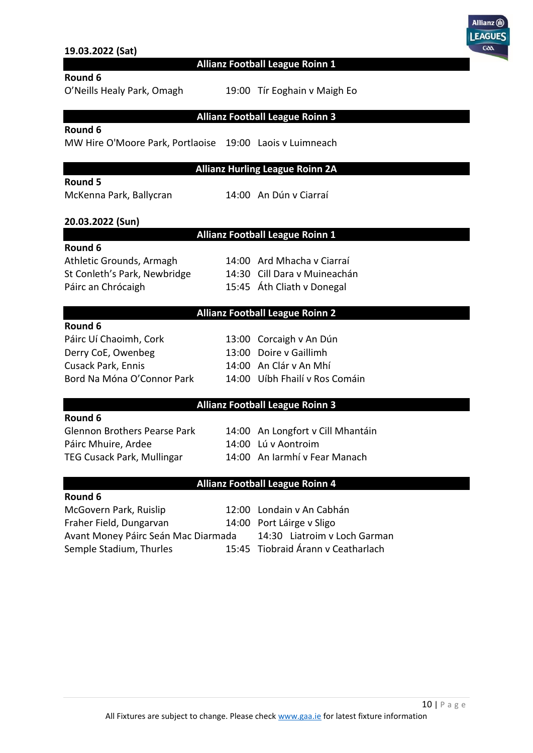| 19.03.2022 (Sat)                                                                                                               |                                                                                                                              |
|--------------------------------------------------------------------------------------------------------------------------------|------------------------------------------------------------------------------------------------------------------------------|
|                                                                                                                                | Allianz Football League Roinn 1                                                                                              |
| Round 6<br>O'Neills Healy Park, Omagh                                                                                          | 19:00 Tír Eoghain v Maigh Eo                                                                                                 |
|                                                                                                                                | <b>Allianz Football League Roinn 3</b>                                                                                       |
| Round 6<br>MW Hire O'Moore Park, Portlaoise 19:00 Laois v Luimneach                                                            |                                                                                                                              |
|                                                                                                                                | <b>Allianz Hurling League Roinn 2A</b>                                                                                       |
| Round 5<br>McKenna Park, Ballycran                                                                                             | 14:00 An Dún v Ciarraí                                                                                                       |
| 20.03.2022 (Sun)                                                                                                               |                                                                                                                              |
|                                                                                                                                | Allianz Football League Roinn 1                                                                                              |
| Round 6<br>Athletic Grounds, Armagh<br>St Conleth's Park, Newbridge<br>Páirc an Chrócaigh                                      | 14:00 Ard Mhacha v Ciarraí<br>14:30 Cill Dara v Muineachán<br>15:45 Áth Cliath v Donegal                                     |
|                                                                                                                                | <b>Allianz Football League Roinn 2</b>                                                                                       |
| Round 6<br>Páirc Uí Chaoimh, Cork<br>Derry CoE, Owenbeg<br>Cusack Park, Ennis<br>Bord Na Móna O'Connor Park                    | 13:00 Corcaigh v An Dún<br>13:00 Doire v Gaillimh<br>14:00 An Clár v An Mhí<br>14:00 Uíbh Fhailí v Ros Comáin                |
|                                                                                                                                | <b>Allianz Football League Roinn 3</b>                                                                                       |
| Round 6<br><b>Glennon Brothers Pearse Park</b><br>Páirc Mhuire, Ardee<br>TEG Cusack Park, Mullingar                            | 14:00 An Longfort v Cill Mhantáin<br>14:00 Lú v Aontroim<br>14:00 An Iarmhí y Fear Manach                                    |
|                                                                                                                                | <b>Allianz Football League Roinn 4</b>                                                                                       |
| Round 6<br>McGovern Park, Ruislip<br>Fraher Field, Dungarvan<br>Avant Money Páirc Seán Mac Diarmada<br>Semple Stadium, Thurles | 12:00 Londain v An Cabhán<br>14:00 Port Láirge v Sligo<br>14:30 Liatroim v Loch Garman<br>15:45 Tiobraid Árann v Ceatharlach |

Allianz (ii) LEAGUES  $\overline{a}$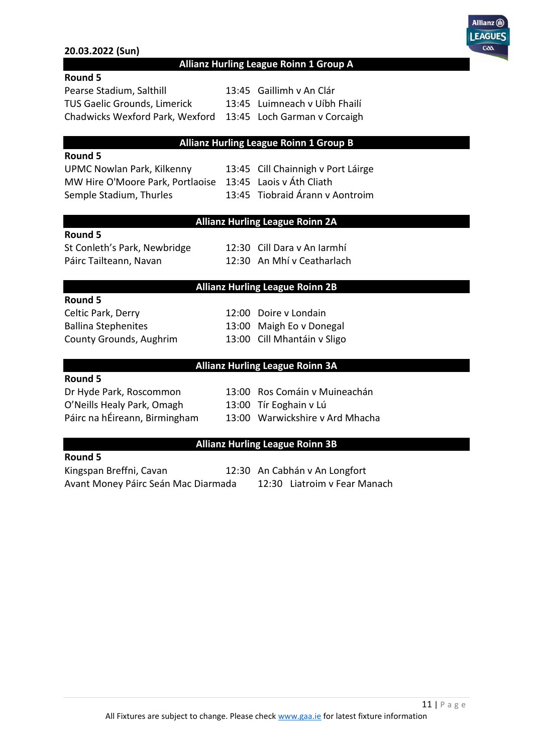#### **20.03.2022 (Sun)**



#### **Allianz Hurling League Roinn 1 Group A**

| <b>Round 5</b> |  |
|----------------|--|
|----------------|--|

Pearse Stadium, Salthill 13:45 Gaillimh v An Clár TUS Gaelic Grounds, Limerick 13:45 Luimneach v Uíbh Fhailí Chadwicks Wexford Park, Wexford 13:45 Loch Garman v Corcaigh

#### **Allianz Hurling League Roinn 1 Group B**

#### **Round 5**

UPMC Nowlan Park, Kilkenny 13:45 Cill Chainnigh v Port Láirge MW Hire O'Moore Park, Portlaoise 13:45 Laois v Áth Cliath Semple Stadium, Thurles 13:45 Tiobraid Árann v Aontroim

## **Allianz Hurling League Roinn 2A**

#### **Round 5**

Páirc Tailteann, Navan 12:30 An Mhí v Ceatharlach

St Conleth's Park, Newbridge 12:30 Cill Dara v An Iarmhí

#### **Allianz Hurling League Roinn 2B**

#### **Round 5**

Celtic Park, Derry 12:00 Doire v Londain County Grounds, Aughrim 13:00 Cill Mhantáin v Sligo

Ballina Stephenites 13:00 Maigh Eo v Donegal

#### **Allianz Hurling League Roinn 3A**

#### **Round 5**

Dr Hyde Park, Roscommon 13:00 Ros Comáin v Muineachán O'Neills Healy Park, Omagh 13:00 Tír Eoghain v Lú Páirc na hÉireann, Birmingham 13:00 Warwickshire v Ard Mhacha

### **Allianz Hurling League Roinn 3B**

#### **Round 5**

Kingspan Breffni, Cavan 12:30 An Cabhán v An Longfort Avant Money Páirc Seán Mac Diarmada 12:30 Liatroim v Fear Manach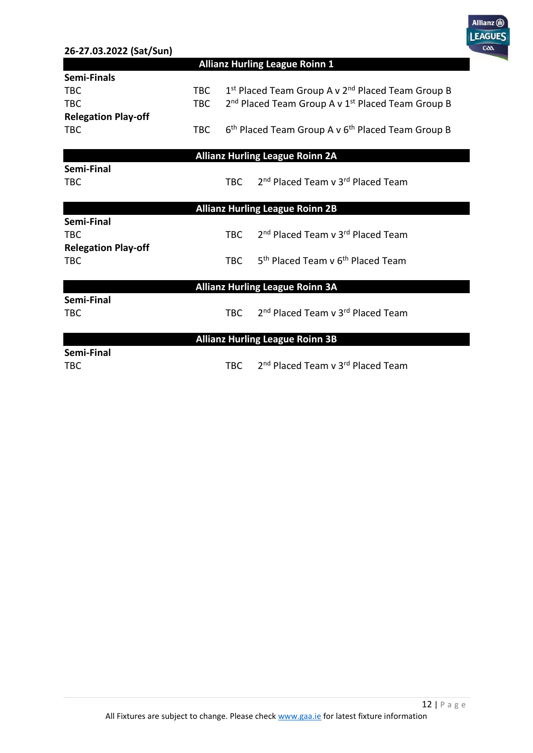| 26-27.03.2022 (Sat/Sun)    |            |            |                                                                           |
|----------------------------|------------|------------|---------------------------------------------------------------------------|
|                            |            |            | <b>Allianz Hurling League Roinn 1</b>                                     |
| <b>Semi-Finals</b>         |            |            |                                                                           |
| <b>TBC</b>                 | <b>TBC</b> |            | 1st Placed Team Group A v 2 <sup>nd</sup> Placed Team Group B             |
| <b>TBC</b>                 | <b>TBC</b> |            | 2 <sup>nd</sup> Placed Team Group A v 1 <sup>st</sup> Placed Team Group B |
| <b>Relegation Play-off</b> |            |            |                                                                           |
| <b>TBC</b>                 | <b>TBC</b> |            | 6 <sup>th</sup> Placed Team Group A v 6 <sup>th</sup> Placed Team Group B |
|                            |            |            |                                                                           |
|                            |            |            | <b>Allianz Hurling League Roinn 2A</b>                                    |
| Semi-Final                 |            |            |                                                                           |
| <b>TBC</b>                 |            | <b>TBC</b> | 2 <sup>nd</sup> Placed Team v 3 <sup>rd</sup> Placed Team                 |
|                            |            |            |                                                                           |
| Semi-Final                 |            |            | <b>Allianz Hurling League Roinn 2B</b>                                    |
| <b>TBC</b>                 |            | TBC.       | 2 <sup>nd</sup> Placed Team v 3 <sup>rd</sup> Placed Team                 |
| <b>Relegation Play-off</b> |            |            |                                                                           |
| <b>TBC</b>                 |            | <b>TBC</b> | 5 <sup>th</sup> Placed Team v 6 <sup>th</sup> Placed Team                 |
|                            |            |            |                                                                           |
|                            |            |            | <b>Allianz Hurling League Roinn 3A</b>                                    |
| Semi-Final                 |            |            |                                                                           |
| <b>TBC</b>                 |            | <b>TBC</b> | 2 <sup>nd</sup> Placed Team v 3 <sup>rd</sup> Placed Team                 |
|                            |            |            |                                                                           |
|                            |            |            | <b>Allianz Hurling League Roinn 3B</b>                                    |
| Semi-Final                 |            |            |                                                                           |
| TBC                        |            | <b>TBC</b> | 2 <sup>nd</sup> Placed Team v 3 <sup>rd</sup> Placed Team                 |

Allianz (ii)

F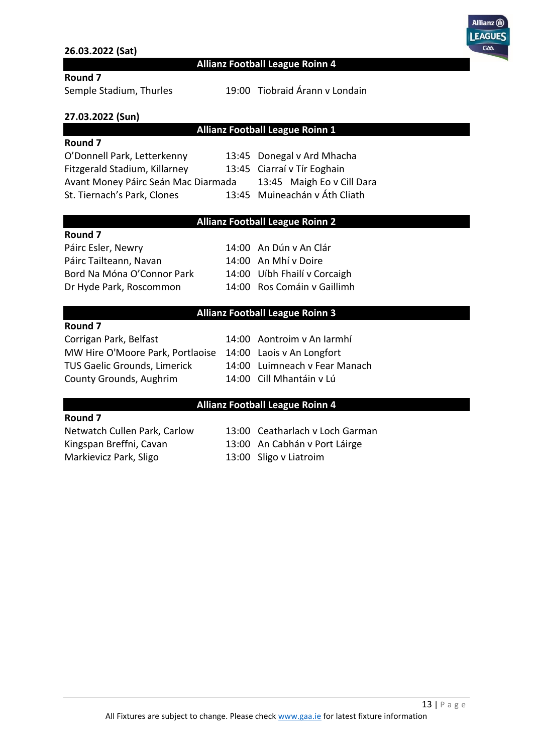#### **26.03.2022 (Sat)**



#### **Allianz Football League Roinn 4**

#### **Round 7**

Semple Stadium, Thurles 19:00 Tiobraid Árann v Londain

#### **27.03.2022 (Sun)**

#### **Allianz Football League Roinn 1**

#### **Round 7**

O'Donnell Park, Letterkenny 13:45 Donegal v Ard Mhacha Fitzgerald Stadium, Killarney 13:45 Ciarraí v Tír Eoghain Avant Money Páirc Seán Mac Diarmada 13:45 Maigh Eo v Cill Dara St. Tiernach's Park, Clones 13:45 Muineachán v Áth Cliath

#### **Allianz Football League Roinn 2**

#### **Round 7**

Páirc Esler, Newry 14:00 An Dún v An Clár Páirc Tailteann, Navan 14:00 An Mhí v Doire Bord Na Móna O'Connor Park 14:00 Uíbh Fhailí v Corcaigh Dr Hyde Park, Roscommon 14:00 Ros Comáin v Gaillimh

#### **Allianz Football League Roinn 3**

#### **Round 7**

Corrigan Park, Belfast 14:00 Aontroim v An Iarmhí MW Hire O'Moore Park, Portlaoise 14:00 Laois v An Longfort TUS Gaelic Grounds, Limerick 14:00 Luimneach v Fear Manach County Grounds, Aughrim 14:00 Cill Mhantáin v Lú

#### **Allianz Football League Roinn 4**

#### **Round 7**

Markievicz Park, Sligo 13:00 Sligo v Liatroim

Netwatch Cullen Park, Carlow 13:00 Ceatharlach v Loch Garman Kingspan Breffni, Cavan 13:00 An Cabhán v Port Láirge